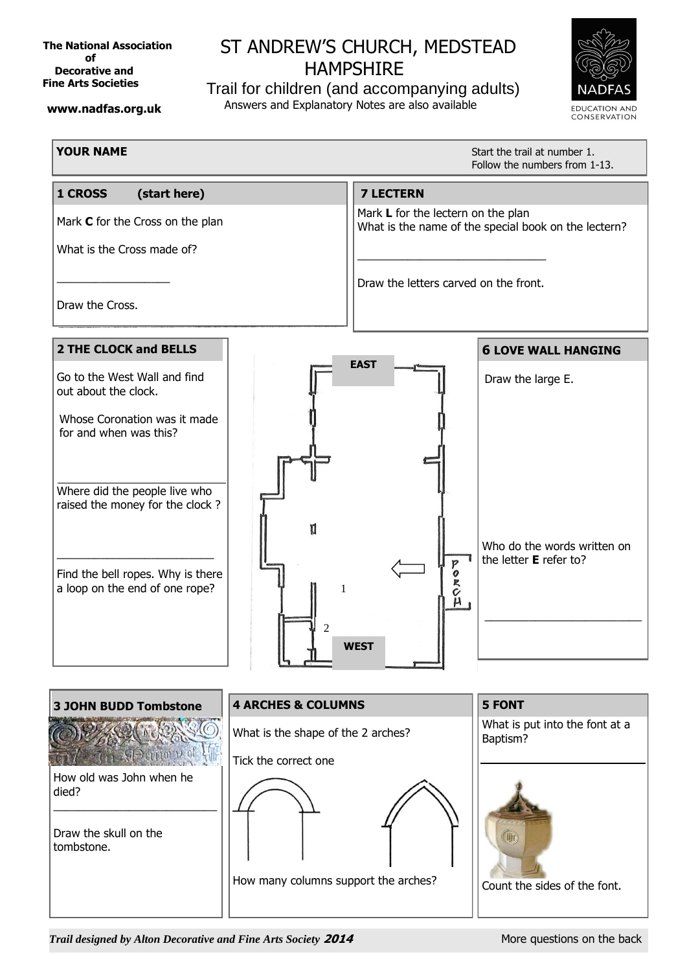**The National Association of Decorative and Fine Arts Societies**

## **ST ANDREW'S CHURCH, MEDSTEAD HAMPSHIRE**

Trail for children (and accompanying adults) Answers and Explanatory Notes are also available



## **www.nadfas.org.uk**

**YOUR NAME** 

Start the trail at number 1. Follow the numbers from 1-13.



*Trail designed by Alton Decorative and Fine Arts Society* **2014** More questions on the back